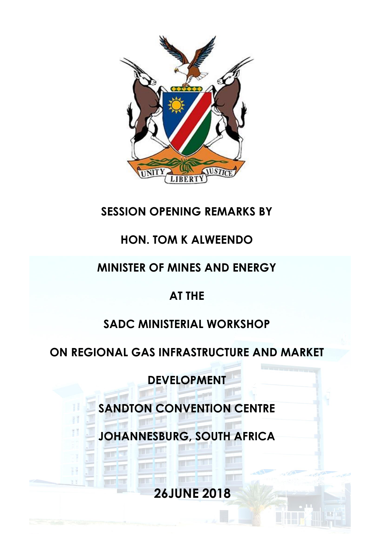

## **SESSION OPENING REMARKS BY**

## **HON. TOM K ALWEENDO**

# **MINISTER OF MINES AND ENERGY**

## **AT THE**

## **SADC MINISTERIAL WORKSHOP**

## **ON REGIONAL GAS INFRASTRUCTURE AND MARKET**

**DEVELOPMENT**

**SANDTON CONVENTION CENTRE**

**JOHANNESBURG, SOUTH AFRICA**

**26JUNE 2018**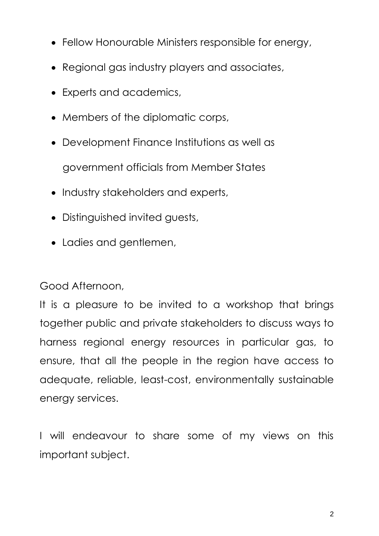- Fellow Honourable Ministers responsible for energy,
- Regional gas industry players and associates,
- Experts and academics,
- Members of the diplomatic corps,
- Development Finance Institutions as well as government officials from Member States
- Industry stakeholders and experts,
- Distinguished invited guests,
- Ladies and gentlemen,

#### Good Afternoon,

It is a pleasure to be invited to a workshop that brings together public and private stakeholders to discuss ways to harness regional energy resources in particular gas, to ensure, that all the people in the region have access to adequate, reliable, least-cost, environmentally sustainable energy services.

I will endeavour to share some of my views on this important subject.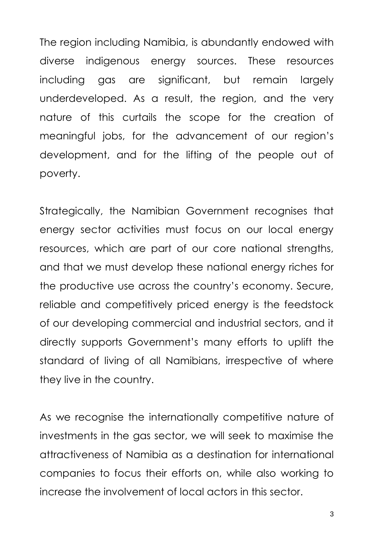The region including Namibia, is abundantly endowed with diverse indigenous energy sources. These resources including gas are significant, but remain largely underdeveloped. As a result, the region, and the very nature of this curtails the scope for the creation of meaningful jobs, for the advancement of our region's development, and for the lifting of the people out of poverty.

Strategically, the Namibian Government recognises that energy sector activities must focus on our local energy resources, which are part of our core national strengths, and that we must develop these national energy riches for the productive use across the country's economy. Secure, reliable and competitively priced energy is the feedstock of our developing commercial and industrial sectors, and it directly supports Government's many efforts to uplift the standard of living of all Namibians, irrespective of where they live in the country.

As we recognise the internationally competitive nature of investments in the gas sector, we will seek to maximise the attractiveness of Namibia as a destination for international companies to focus their efforts on, while also working to increase the involvement of local actors in this sector.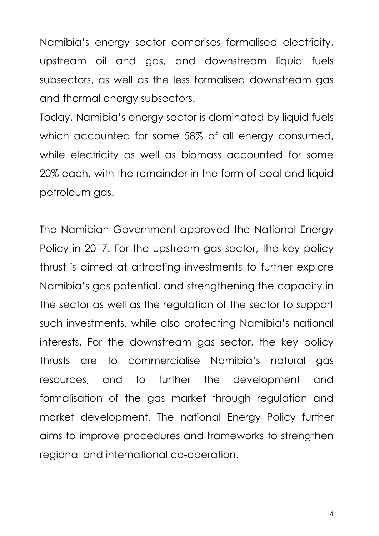Namibia's energy sector comprises formalised electricity, upstream oil and gas, and downstream liquid fuels subsectors, as well as the less formalised downstream gas and thermal energy subsectors.

Today, Namibia's energy sector is dominated by liquid fuels which accounted for some 58% of all energy consumed, while electricity as well as biomass accounted for some 20% each, with the remainder in the form of coal and liquid petroleum gas.

The Namibian Government approved the National Energy Policy in 2017. For the upstream gas sector, the key policy thrust is aimed at attracting investments to further explore Namibia's gas potential, and strengthening the capacity in the sector as well as the regulation of the sector to support such investments, while also protecting Namibia's national interests. For the downstream gas sector, the key policy thrusts are to commercialise Namibia's natural gas resources, and to further the development and formalisation of the gas market through regulation and market development. The national Energy Policy further aims to improve procedures and frameworks to strengthen regional and international co-operation.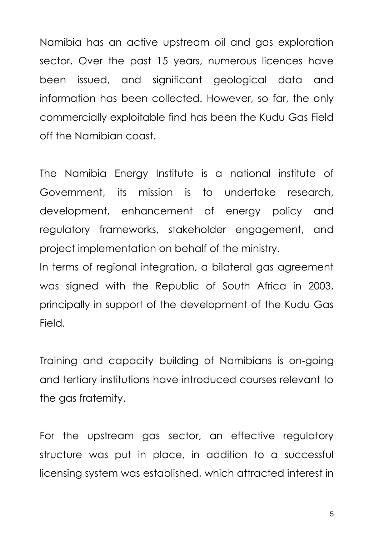Namibia has an active upstream oil and gas exploration sector. Over the past 15 years, numerous licences have been issued, and significant geological data and information has been collected. However, so far, the only commercially exploitable find has been the Kudu Gas Field off the Namibian coast.

The Namibia Energy Institute is a national institute of Government, its mission is to undertake research, development, enhancement of energy policy and regulatory frameworks, stakeholder engagement, and project implementation on behalf of the ministry.

In terms of regional integration, a bilateral gas agreement was signed with the Republic of South Africa in 2003, principally in support of the development of the Kudu Gas Field.

Training and capacity building of Namibians is on-going and tertiary institutions have introduced courses relevant to the gas fraternity.

For the upstream gas sector, an effective regulatory structure was put in place, in addition to a successful licensing system was established, which attracted interest in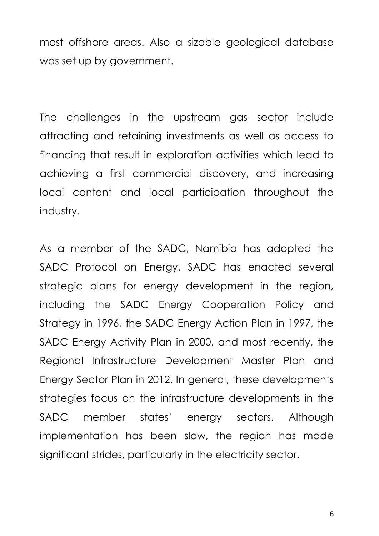most offshore areas. Also a sizable geological database was set up by government.

The challenges in the upstream gas sector include attracting and retaining investments as well as access to financing that result in exploration activities which lead to achieving a first commercial discovery, and increasing local content and local participation throughout the industry.

As a member of the SADC, Namibia has adopted the SADC Protocol on Energy. SADC has enacted several strategic plans for energy development in the region, including the SADC Energy Cooperation Policy and Strategy in 1996, the SADC Energy Action Plan in 1997, the SADC Energy Activity Plan in 2000, and most recently, the Regional Infrastructure Development Master Plan and Energy Sector Plan in 2012. In general, these developments strategies focus on the infrastructure developments in the SADC member states' energy sectors. Although implementation has been slow, the region has made significant strides, particularly in the electricity sector.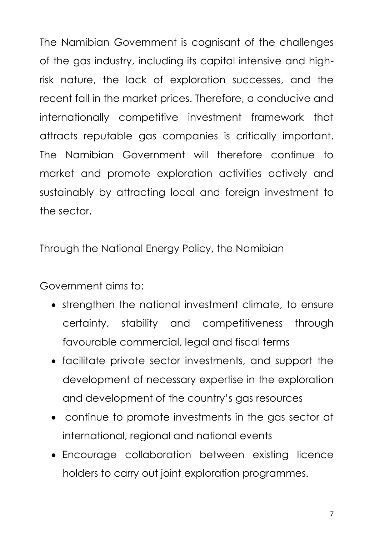The Namibian Government is cognisant of the challenges of the gas industry, including its capital intensive and highrisk nature, the lack of exploration successes, and the recent fall in the market prices. Therefore, a conducive and internationally competitive investment framework that attracts reputable gas companies is critically important. The Namibian Government will therefore continue to market and promote exploration activities actively and sustainably by attracting local and foreign investment to the sector.

Through the National Energy Policy, the Namibian

Government aims to:

- strengthen the national investment climate, to ensure certainty, stability and competitiveness through favourable commercial, legal and fiscal terms
- facilitate private sector investments, and support the development of necessary expertise in the exploration and development of the country's gas resources
- continue to promote investments in the gas sector at international, regional and national events
- Encourage collaboration between existing licence holders to carry out joint exploration programmes.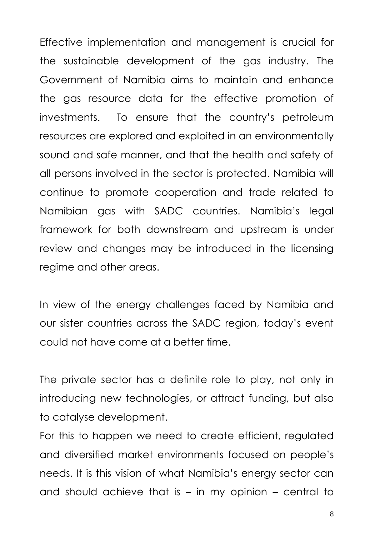Effective implementation and management is crucial for the sustainable development of the gas industry. The Government of Namibia aims to maintain and enhance the gas resource data for the effective promotion of investments. To ensure that the country's petroleum resources are explored and exploited in an environmentally sound and safe manner, and that the health and safety of all persons involved in the sector is protected. Namibia will continue to promote cooperation and trade related to Namibian gas with SADC countries. Namibia's legal framework for both downstream and upstream is under review and changes may be introduced in the licensing regime and other areas.

In view of the energy challenges faced by Namibia and our sister countries across the SADC region, today's event could not have come at a better time.

The private sector has a definite role to play, not only in introducing new technologies, or attract funding, but also to catalyse development.

For this to happen we need to create efficient, regulated and diversified market environments focused on people's needs. It is this vision of what Namibia's energy sector can and should achieve that is  $-$  in my opinion  $-$  central to